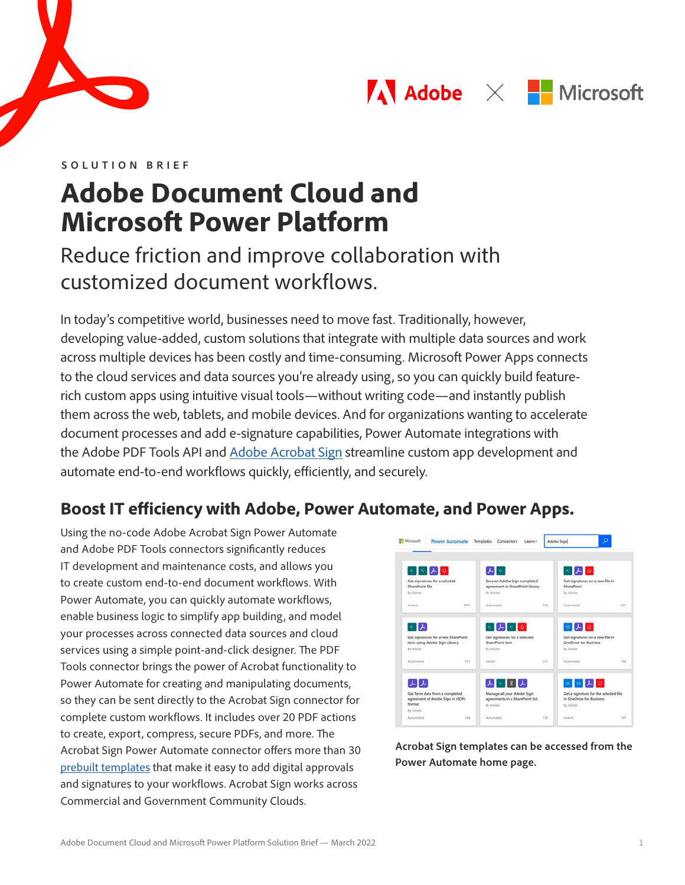



**SOLUTION BRIEF**

# **Adobe Document Cloud and Microsoft Power Platform**

# Reduce friction and improve collaboration with customized document workflows.

In today's competitive world, businesses need to move fast. Traditionally, however, developing value-added, custom solutions that integrate with multiple data sources and work across multiple devices has been costly and time-consuming. Microsoft Power Apps connects to the cloud services and data sources you're already using, so you can quickly build featurerich custom apps using intuitive visual tools—without writing code—and instantly publish them across the web, tablets, and mobile devices. And for organizations wanting to accelerate document processes and add e-signature capabilities, Power Automate integrations with the Adobe PDF Tools API and [Adobe Acrobat Sign](https://acrobat.adobe.com/us/en/sign.html) streamline custom app development and automate end-to-end workflows quickly, efficiently, and securely.

# **Boost IT efficiency with Adobe, Power Automate, and Power Apps.**

Using the no-code Adobe Acrobat Sign Power Automate and Adobe PDF Tools connectors significantly reduces IT development and maintenance costs, and allows you to create custom end-to-end document workflows. With Power Automate, you can quickly automate workflows, enable business logic to simplify app building, and model your processes across connected data sources and cloud services using a simple point-and-click designer. The PDF Tools connector brings the power of Acrobat functionality to Power Automate for creating and manipulating documents, so they can be sent directly to the Acrobat Sign connector for complete custom workflows. It includes over 20 PDF actions to create, export, compress, secure PDFs, and more. The Acrobat Sign Power Automate connector offers more than 30 [prebuilt templates](https://us.flow.microsoft.com/en-us/connectors/shared_adobesign/adobe-sign/) that make it easy to add digital approvals and signatures to your workflows. Acrobat Sign works across Commercial and Government Community Clouds.



**Acrobat Sign templates can be accessed from the Power Automate home page.**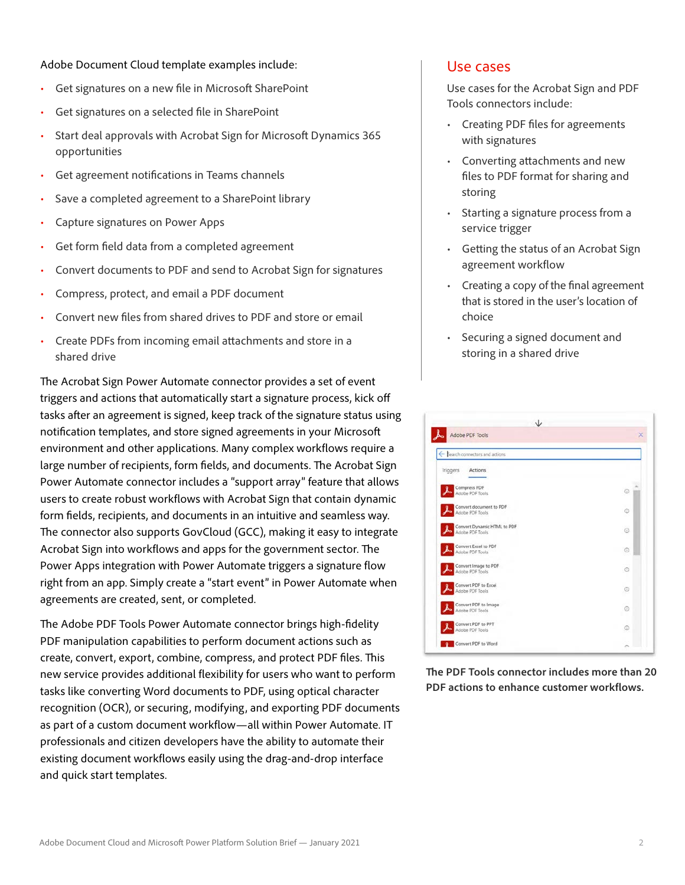Adobe Document Cloud template examples include:

- Get signatures on a new file in Microsoft SharePoint
- Get signatures on a selected file in SharePoint
- Start deal approvals with Acrobat Sign for Microsoft Dynamics 365 opportunities
- Get agreement notifications in Teams channels
- Save a completed agreement to a SharePoint library
- Capture signatures on Power Apps
- Get form field data from a completed agreement
- Convert documents to PDF and send to Acrobat Sign for signatures
- Compress, protect, and email a PDF document
- Convert new files from shared drives to PDF and store or email
- Create PDFs from incoming email attachments and store in a shared drive

The Acrobat Sign Power Automate connector provides a set of event triggers and actions that automatically start a signature process, kick off tasks after an agreement is signed, keep track of the signature status using notification templates, and store signed agreements in your Microsoft environment and other applications. Many complex workflows require a large number of recipients, form fields, and documents. The Acrobat Sign Power Automate connector includes a "support array" feature that allows users to create robust workflows with Acrobat Sign that contain dynamic form fields, recipients, and documents in an intuitive and seamless way. The connector also supports GovCloud (GCC), making it easy to integrate Acrobat Sign into workflows and apps for the government sector. The Power Apps integration with Power Automate triggers a signature flow right from an app. Simply create a "start event" in Power Automate when agreements are created, sent, or completed.

The Adobe PDF Tools Power Automate connector brings high-fidelity PDF manipulation capabilities to perform document actions such as create, convert, export, combine, compress, and protect PDF files. This new service provides additional flexibility for users who want to perform tasks like converting Word documents to PDF, using optical character recognition (OCR), or securing, modifying, and exporting PDF documents as part of a custom document workflow—all within Power Automate. IT professionals and citizen developers have the ability to automate their existing document workflows easily using the drag-and-drop interface and quick start templates.

#### Use cases

Use cases for the Acrobat Sign and PDF Tools connectors include:

- Creating PDF files for agreements with signatures
- Converting attachments and new files to PDF format for sharing and storing
- Starting a signature process from a service trigger
- Getting the status of an Acrobat Sign agreement workflow
- Creating a copy of the final agreement that is stored in the user's location of choice
- Securing a signed document and storing in a shared drive

| Adobe PDF Tools                                | ×       |  |  |  |
|------------------------------------------------|---------|--|--|--|
| ← Search connectors and actions                |         |  |  |  |
| Triggers<br>Actions                            |         |  |  |  |
| Compress PDF<br>Adobe PDF Tools                | $\circ$ |  |  |  |
| Convert document to PDF<br>Adobe PDF Tools     | o       |  |  |  |
| Convert Dynamic HTML to PDF<br>Adobe PDF Tools | $\odot$ |  |  |  |
| Convert Excel to PDF<br>Adobe PDF Tools        | $\odot$ |  |  |  |
| Convert Image to PDF<br>Adobe PDF Tools        | o       |  |  |  |
| Convert PDF to Excel<br>Adobe PDF Tools        | o       |  |  |  |
| Convert PDF to Image<br>Adobe PDF Tools        | $\odot$ |  |  |  |
| Convert PDF to PPT<br>Adobe PDF Tools          | $\odot$ |  |  |  |
| Convert PDF to Word                            |         |  |  |  |

**The PDF Tools connector includes more than 20 PDF actions to enhance customer workflows.**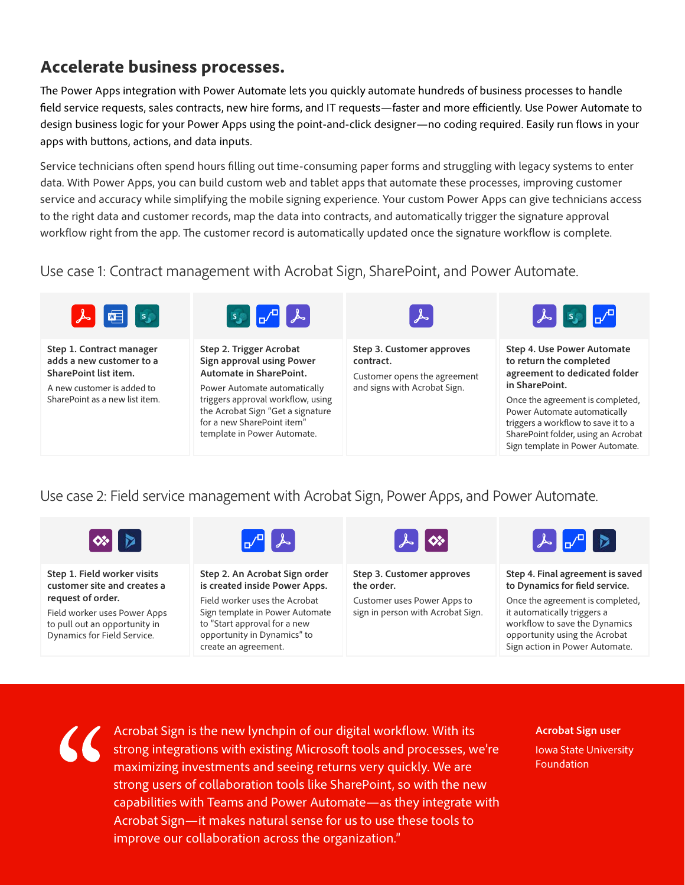# **Accelerate business processes.**

The Power Apps integration with Power Automate lets you quickly automate hundreds of business processes to handle field service requests, sales contracts, new hire forms, and IT requests—faster and more efficiently. Use Power Automate to design business logic for your Power Apps using the point-and-click designer—no coding required. Easily run flows in your apps with buttons, actions, and data inputs.

Service technicians often spend hours filling out time-consuming paper forms and struggling with legacy systems to enter data. With Power Apps, you can build custom web and tablet apps that automate these processes, improving customer service and accuracy while simplifying the mobile signing experience. Your custom Power Apps can give technicians access to the right data and customer records, map the data into contracts, and automatically trigger the signature approval workflow right from the app. The customer record is automatically updated once the signature workflow is complete.

Use case 1: Contract management with Acrobat Sign, SharePoint, and Power Automate.



**Step 1. Contract manager adds a new customer to a SharePoint list item.** 

A new customer is added to SharePoint as a new list item.



**Step 2. Trigger Acrobat Sign approval using Power Automate in SharePoint.**

Power Automate automatically triggers approval workflow, using the Acrobat Sign "Get a signature for a new SharePoint item" template in Power Automate.



**Step 3. Customer approves contract.**

Customer opens the agreement and signs with Acrobat Sign.



**Step 4. Use Power Automate to return the completed agreement to dedicated folder in SharePoint.** 

Once the agreement is completed, Power Automate automatically triggers a workflow to save it to a SharePoint folder, using an Acrobat Sign template in Power Automate.

### Use case 2: Field service management with Acrobat Sign, Power Apps, and Power Automate.



**Step 1. Field worker visits customer site and creates a request of order.** 

Field worker uses Power Apps to pull out an opportunity in Dynamics for Field Service.



**Step 2. An Acrobat Sign order is created inside Power Apps.**

Field worker uses the Acrobat Sign template in Power Automate to "Start approval for a new opportunity in Dynamics" to create an agreement.



**Step 3. Customer approves the order.**

Customer uses Power Apps to sign in person with Acrobat Sign.



**Step 4. Final agreement is saved to Dynamics for field service.**

Once the agreement is completed, it automatically triggers a workflow to save the Dynamics opportunity using the Acrobat Sign action in Power Automate.



inforte timprove our collaboration across the organization." Acrobat Sign is the new lynchpin of our digital workflow. With its strong integrations with existing Microsoft tools and processes, we're maximizing investments and seeing returns very quickly. We are strong users of collaboration tools like SharePoint, so with the new capabilities with Teams and Power Automate—as they integrate with Acrobat Sign—it makes natural sense for us to use these tools to

**Acrobat Sign user** Iowa State University Foundation